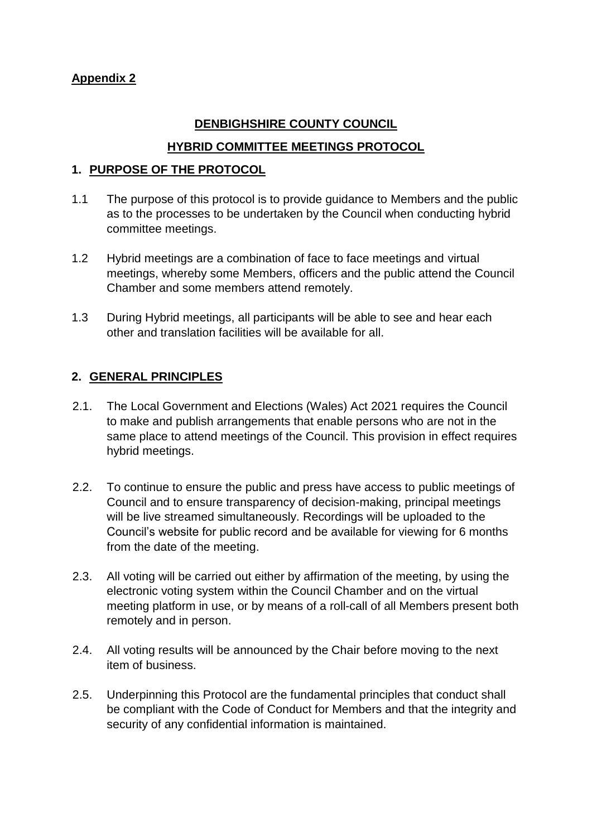# **Appendix 2**

## **DENBIGHSHIRE COUNTY COUNCIL**

### **HYBRID COMMITTEE MEETINGS PROTOCOL**

#### **1. PURPOSE OF THE PROTOCOL**

- 1.1 The purpose of this protocol is to provide guidance to Members and the public as to the processes to be undertaken by the Council when conducting hybrid committee meetings.
- 1.2 Hybrid meetings are a combination of face to face meetings and virtual meetings, whereby some Members, officers and the public attend the Council Chamber and some members attend remotely.
- 1.3 During Hybrid meetings, all participants will be able to see and hear each other and translation facilities will be available for all.

## **2. GENERAL PRINCIPLES**

- 2.1. The Local Government and Elections (Wales) Act 2021 requires the Council to make and publish arrangements that enable persons who are not in the same place to attend meetings of the Council. This provision in effect requires hybrid meetings.
- 2.2. To continue to ensure the public and press have access to public meetings of Council and to ensure transparency of decision-making, principal meetings will be live streamed simultaneously. Recordings will be uploaded to the Council's website for public record and be available for viewing for 6 months from the date of the meeting.
- 2.3. All voting will be carried out either by affirmation of the meeting, by using the electronic voting system within the Council Chamber and on the virtual meeting platform in use, or by means of a roll-call of all Members present both remotely and in person.
- 2.4. All voting results will be announced by the Chair before moving to the next item of business.
- 2.5. Underpinning this Protocol are the fundamental principles that conduct shall be compliant with the Code of Conduct for Members and that the integrity and security of any confidential information is maintained.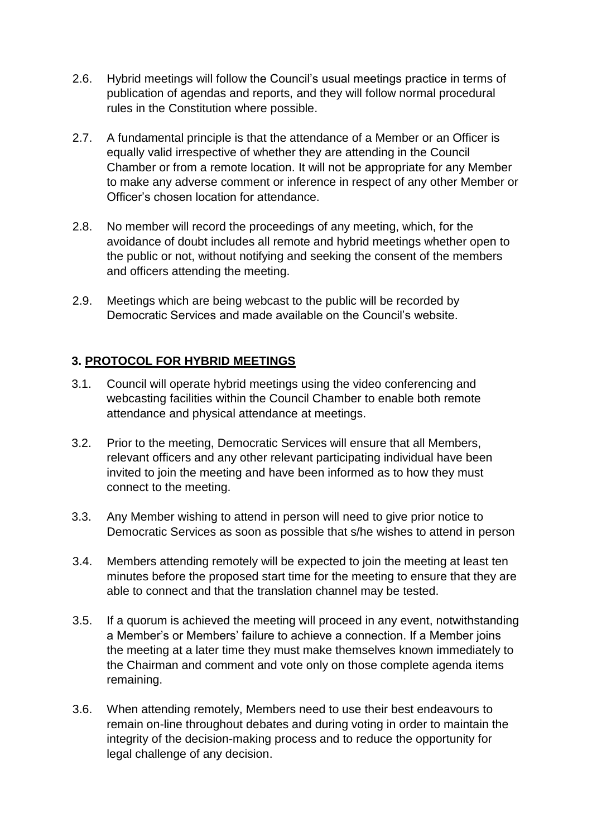- 2.6. Hybrid meetings will follow the Council's usual meetings practice in terms of publication of agendas and reports, and they will follow normal procedural rules in the Constitution where possible.
- 2.7. A fundamental principle is that the attendance of a Member or an Officer is equally valid irrespective of whether they are attending in the Council Chamber or from a remote location. It will not be appropriate for any Member to make any adverse comment or inference in respect of any other Member or Officer's chosen location for attendance.
- 2.8. No member will record the proceedings of any meeting, which, for the avoidance of doubt includes all remote and hybrid meetings whether open to the public or not, without notifying and seeking the consent of the members and officers attending the meeting.
- 2.9. Meetings which are being webcast to the public will be recorded by Democratic Services and made available on the Council's website.

## **3. PROTOCOL FOR HYBRID MEETINGS**

- 3.1. Council will operate hybrid meetings using the video conferencing and webcasting facilities within the Council Chamber to enable both remote attendance and physical attendance at meetings.
- 3.2. Prior to the meeting, Democratic Services will ensure that all Members, relevant officers and any other relevant participating individual have been invited to join the meeting and have been informed as to how they must connect to the meeting.
- 3.3. Any Member wishing to attend in person will need to give prior notice to Democratic Services as soon as possible that s/he wishes to attend in person
- 3.4. Members attending remotely will be expected to join the meeting at least ten minutes before the proposed start time for the meeting to ensure that they are able to connect and that the translation channel may be tested.
- 3.5. If a quorum is achieved the meeting will proceed in any event, notwithstanding a Member's or Members' failure to achieve a connection. If a Member joins the meeting at a later time they must make themselves known immediately to the Chairman and comment and vote only on those complete agenda items remaining.
- 3.6. When attending remotely, Members need to use their best endeavours to remain on-line throughout debates and during voting in order to maintain the integrity of the decision-making process and to reduce the opportunity for legal challenge of any decision.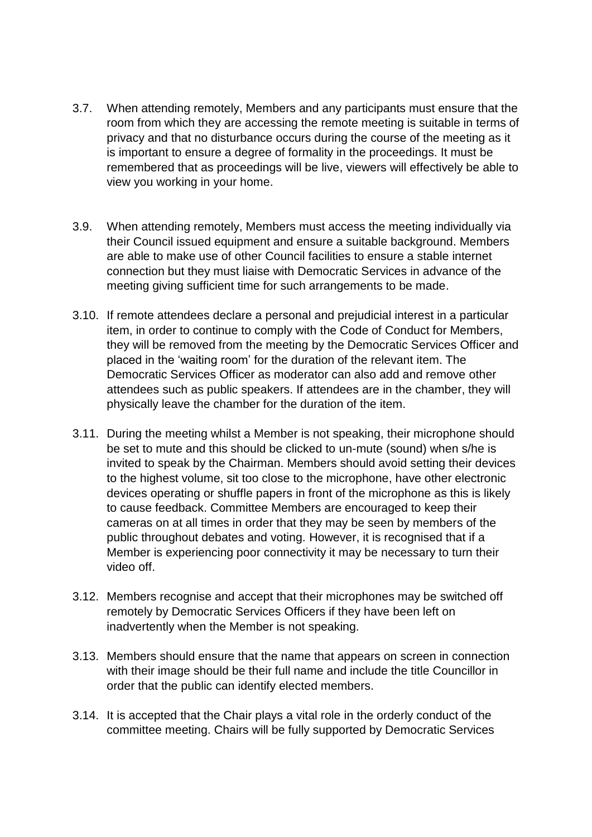- 3.7. When attending remotely, Members and any participants must ensure that the room from which they are accessing the remote meeting is suitable in terms of privacy and that no disturbance occurs during the course of the meeting as it is important to ensure a degree of formality in the proceedings. It must be remembered that as proceedings will be live, viewers will effectively be able to view you working in your home.
- 3.9. When attending remotely, Members must access the meeting individually via their Council issued equipment and ensure a suitable background. Members are able to make use of other Council facilities to ensure a stable internet connection but they must liaise with Democratic Services in advance of the meeting giving sufficient time for such arrangements to be made.
- 3.10. If remote attendees declare a personal and prejudicial interest in a particular item, in order to continue to comply with the Code of Conduct for Members, they will be removed from the meeting by the Democratic Services Officer and placed in the 'waiting room' for the duration of the relevant item. The Democratic Services Officer as moderator can also add and remove other attendees such as public speakers. If attendees are in the chamber, they will physically leave the chamber for the duration of the item.
- 3.11. During the meeting whilst a Member is not speaking, their microphone should be set to mute and this should be clicked to un-mute (sound) when s/he is invited to speak by the Chairman. Members should avoid setting their devices to the highest volume, sit too close to the microphone, have other electronic devices operating or shuffle papers in front of the microphone as this is likely to cause feedback. Committee Members are encouraged to keep their cameras on at all times in order that they may be seen by members of the public throughout debates and voting. However, it is recognised that if a Member is experiencing poor connectivity it may be necessary to turn their video off.
- 3.12. Members recognise and accept that their microphones may be switched off remotely by Democratic Services Officers if they have been left on inadvertently when the Member is not speaking.
- 3.13. Members should ensure that the name that appears on screen in connection with their image should be their full name and include the title Councillor in order that the public can identify elected members.
- 3.14. It is accepted that the Chair plays a vital role in the orderly conduct of the committee meeting. Chairs will be fully supported by Democratic Services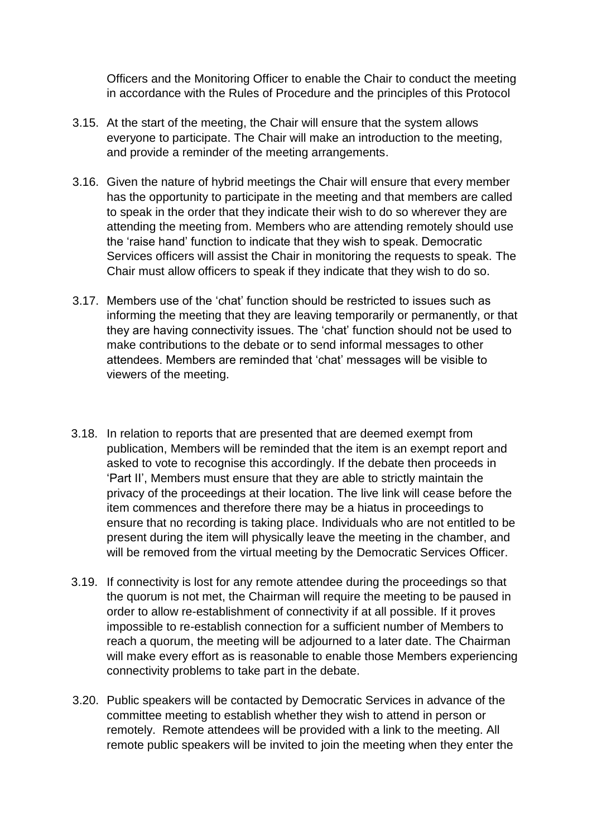Officers and the Monitoring Officer to enable the Chair to conduct the meeting in accordance with the Rules of Procedure and the principles of this Protocol

- 3.15. At the start of the meeting, the Chair will ensure that the system allows everyone to participate. The Chair will make an introduction to the meeting, and provide a reminder of the meeting arrangements.
- 3.16. Given the nature of hybrid meetings the Chair will ensure that every member has the opportunity to participate in the meeting and that members are called to speak in the order that they indicate their wish to do so wherever they are attending the meeting from. Members who are attending remotely should use the 'raise hand' function to indicate that they wish to speak. Democratic Services officers will assist the Chair in monitoring the requests to speak. The Chair must allow officers to speak if they indicate that they wish to do so.
- 3.17. Members use of the 'chat' function should be restricted to issues such as informing the meeting that they are leaving temporarily or permanently, or that they are having connectivity issues. The 'chat' function should not be used to make contributions to the debate or to send informal messages to other attendees. Members are reminded that 'chat' messages will be visible to viewers of the meeting.
- 3.18. In relation to reports that are presented that are deemed exempt from publication, Members will be reminded that the item is an exempt report and asked to vote to recognise this accordingly. If the debate then proceeds in 'Part II', Members must ensure that they are able to strictly maintain the privacy of the proceedings at their location. The live link will cease before the item commences and therefore there may be a hiatus in proceedings to ensure that no recording is taking place. Individuals who are not entitled to be present during the item will physically leave the meeting in the chamber, and will be removed from the virtual meeting by the Democratic Services Officer.
- 3.19. If connectivity is lost for any remote attendee during the proceedings so that the quorum is not met, the Chairman will require the meeting to be paused in order to allow re-establishment of connectivity if at all possible. If it proves impossible to re-establish connection for a sufficient number of Members to reach a quorum, the meeting will be adjourned to a later date. The Chairman will make every effort as is reasonable to enable those Members experiencing connectivity problems to take part in the debate.
- 3.20. Public speakers will be contacted by Democratic Services in advance of the committee meeting to establish whether they wish to attend in person or remotely. Remote attendees will be provided with a link to the meeting. All remote public speakers will be invited to join the meeting when they enter the